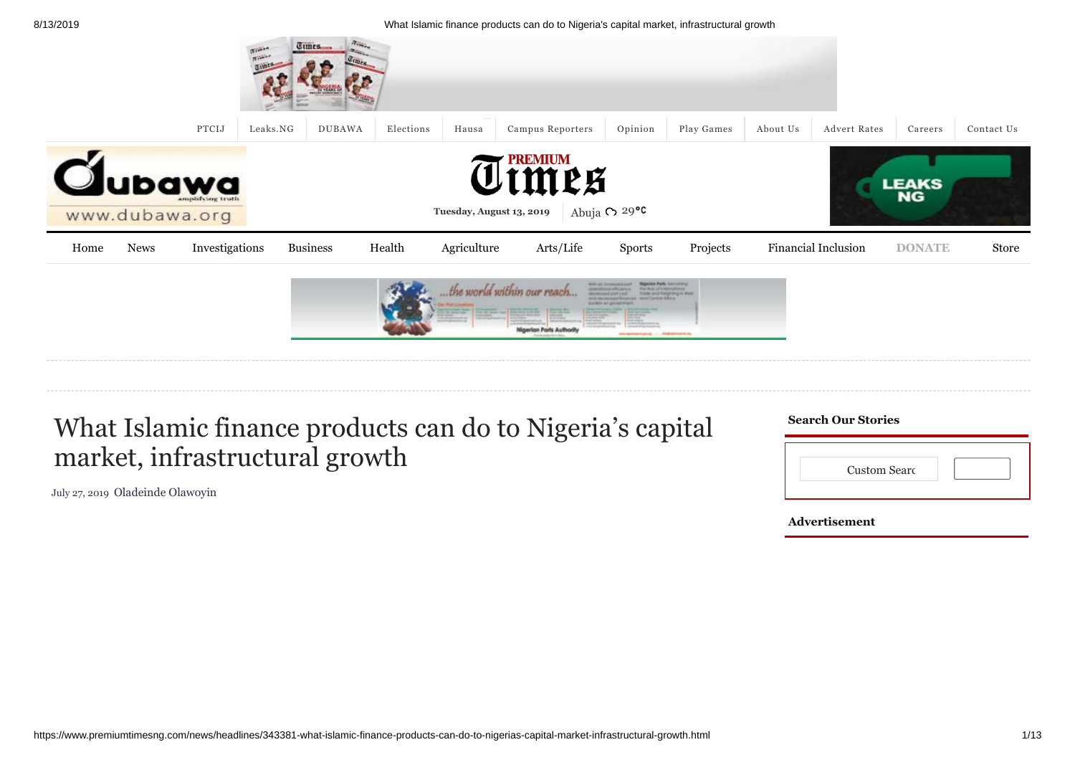|      |                |                         |          | The Contractor<br>Times |           |                            |                        |                                                                                                                                                                                                                                                                             |                               |          |                     |               |            |
|------|----------------|-------------------------|----------|-------------------------|-----------|----------------------------|------------------------|-----------------------------------------------------------------------------------------------------------------------------------------------------------------------------------------------------------------------------------------------------------------------------|-------------------------------|----------|---------------------|---------------|------------|
|      |                | PTCIJ                   | Leaks.NG | <b>DUBAWA</b>           | Elections | Hausa                      | Campus Reporters       | Opinion                                                                                                                                                                                                                                                                     | Play Games                    | About Us | <b>Advert Rates</b> | Careers       | Contact Us |
|      | www.dubawa.org | T.<br>amphilying truth. |          |                         |           | Tuesday, August 13, 2019   | <b>TENIUM</b><br>ULMPS | Abuja $\circ$ 29 °C                                                                                                                                                                                                                                                         |                               |          |                     | <b>LEAKS</b>  |            |
| Home | <b>News</b>    | Investigations          |          | <b>Business</b>         | Health    | Agriculture                | Arts/Life              | <b>Sports</b>                                                                                                                                                                                                                                                               | Projects                      |          | Financial Inclusion | <b>DONATE</b> | Store      |
|      |                |                         |          |                         |           | the world within our reach | rlan Ports Authorit    | <b>Migazion Parts</b> , Leccoming<br><b>RATES AND INVESTIGATION</b><br>complicated afficients is  If he Walk of this middlemal.<br>increased part and<br>ent-beneathered broadcast rend Central Afters<br><b>Studioble Services Internet</b><br>assistant pro contractor of | Triade prod Resigning in West |          |                     |               |            |
|      |                |                         |          |                         |           |                            |                        |                                                                                                                                                                                                                                                                             |                               |          |                     |               |            |

## What Islamic finance products can do to Nigeria's capital market, infrastructural growth

[July 27, 2019](https://www.premiumtimesng.com/news/headlines/343381-what-islamic-finance-products-can-do-to-nigerias-capital-market-infrastructural-growth.html) [Oladeinde Olawoyin](https://www.premiumtimesng.com/author/oladeinde)

| <b>Search Our Stories</b> |
|---------------------------|
|                           |

| <b>Custom Searc</b> |  |
|---------------------|--|

**Advertisement**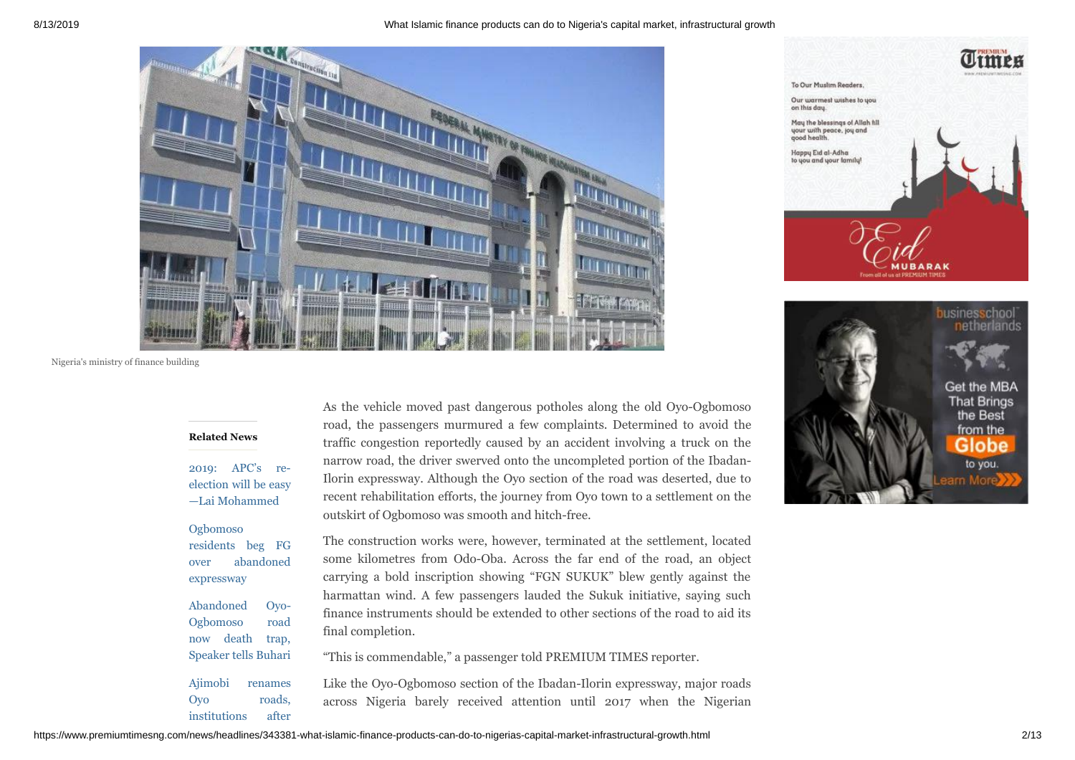



#### **Related News**

2019: APC's re[election will be easy](https://www.premiumtimesng.com/news/top-news/269393-2019-apcs-re-election-will-be-easy-lai-mohammed.html) —Lai Mohammed

Ogbomoso [residents beg FG](https://www.premiumtimesng.com/regional/ssouth-west/298179-ogbomoso-residents-beg-fg-over-abandoned-expressway.html) over abandoned expressway

[Abandoned Oyo-](https://www.premiumtimesng.com/regional/ssouth-west/278959-abandoned-oyo-ogbomoso-road-now-death-trap-speaker-tells-buhari.html)Ogbomoso road now death trap, Speaker tells Buhari [Ajimobi renames](https://www.premiumtimesng.com/regional/ssouth-west/330001-ajimobi-renames-oyo-roads-institutions-after-himself-ex-governors-others.html) Oyo roads,

institutions after

As the vehicle moved past dangerous potholes along the old Oyo-Ogbomoso road, the passengers murmured a few complaints. Determined to avoid the traffic congestion reportedly caused by an accident involving a truck on the narrow road, the driver swerved onto the uncompleted portion of the Ibadan-Ilorin expressway. Although the Oyo section of the road was deserted, due to recent rehabilitation efforts, the journey from Oyo town to a settlement on the outskirt of Ogbomoso was smooth and hitch-free.

The construction works were, however, terminated at the settlement, located some kilometres from Odo-Oba. Across the far end of the road, an object carrying a bold inscription showing "FGN SUKUK" blew gently against the harmattan wind. A few passengers lauded the Sukuk initiative, saying such finance instruments should be extended to other sections of the road to aid its final completion.

"This is commendable," a passenger told PREMIUM TIMES reporter.

Like the Oyo-Ogbomoso section of the Ibadan-Ilorin expressway, major roads across Nigeria barely received attention until 2017 when the Nigerian



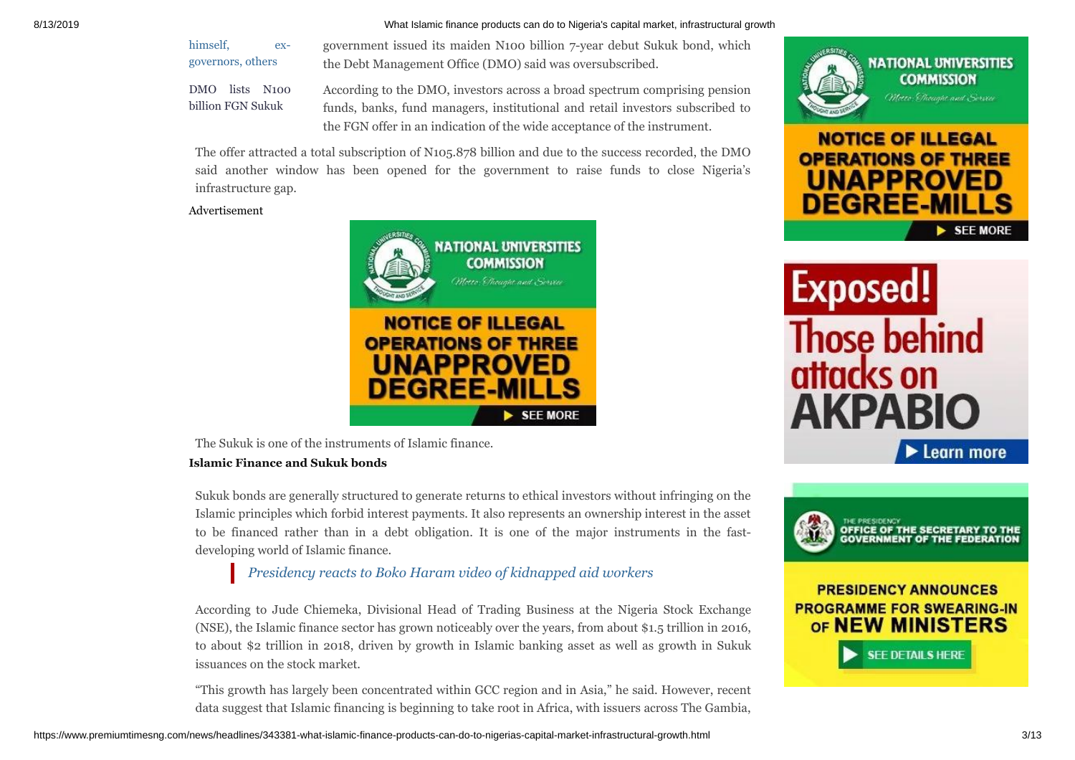[himself, ex](https://www.premiumtimesng.com/regional/ssouth-west/330001-ajimobi-renames-oyo-roads-institutions-after-himself-ex-governors-others.html)governors, others

government issued its maiden N100 billion 7-year debut Sukuk bond, which the Debt Management Office (DMO) said was oversubscribed.

[DMO lists N100](https://www.premiumtimesng.com/business/342543-dmo-lists-n100-billion-fgn-sukuk.html) billion FGN Sukuk

According to the DMO, investors across a broad spectrum comprising pension funds, banks, fund managers, institutional and retail investors subscribed to the FGN offer in an indication of the wide acceptance of the instrument.

The offer attracted a total subscription of N105.878 billion and due to the success recorded, the DMO said another window has been opened for the government to raise funds to close Nigeria's infrastructure gap.

#### Advertisement



The Sukuk is one of the instruments of Islamic finance.

#### **Islamic Finance and Sukuk bonds**

Sukuk bonds are generally structured to generate returns to ethical investors without infringing on the Islamic principles which forbid interest payments. It also represents an ownership interest in the asset to be financed rather than in a debt obligation. It is one of the major instruments in the fastdeveloping world of Islamic finance.

*[Presidency](https://www.premiumtimesng.com/news/top-news/342976-presidency-reacts-to-boko-haram-video-of-kidnapped-aid-workers.html) reacts to Boko Haram video of kidnapped aid workers*

According to Jude Chiemeka, Divisional Head of Trading Business at the Nigeria Stock Exchange (NSE), the Islamic finance sector has grown noticeably over the years, from about \$1.5 trillion in 2016, to about \$2 trillion in 2018, driven by growth in Islamic banking asset as well as growth in Sukuk issuances on the stock market.

"This growth has largely been concentrated within GCC region and in Asia," he said. However, recent data suggest that Islamic financing is beginning to take root in Africa, with issuers across The Gambia,









**CE OF THE SECRETARY TO THE** 

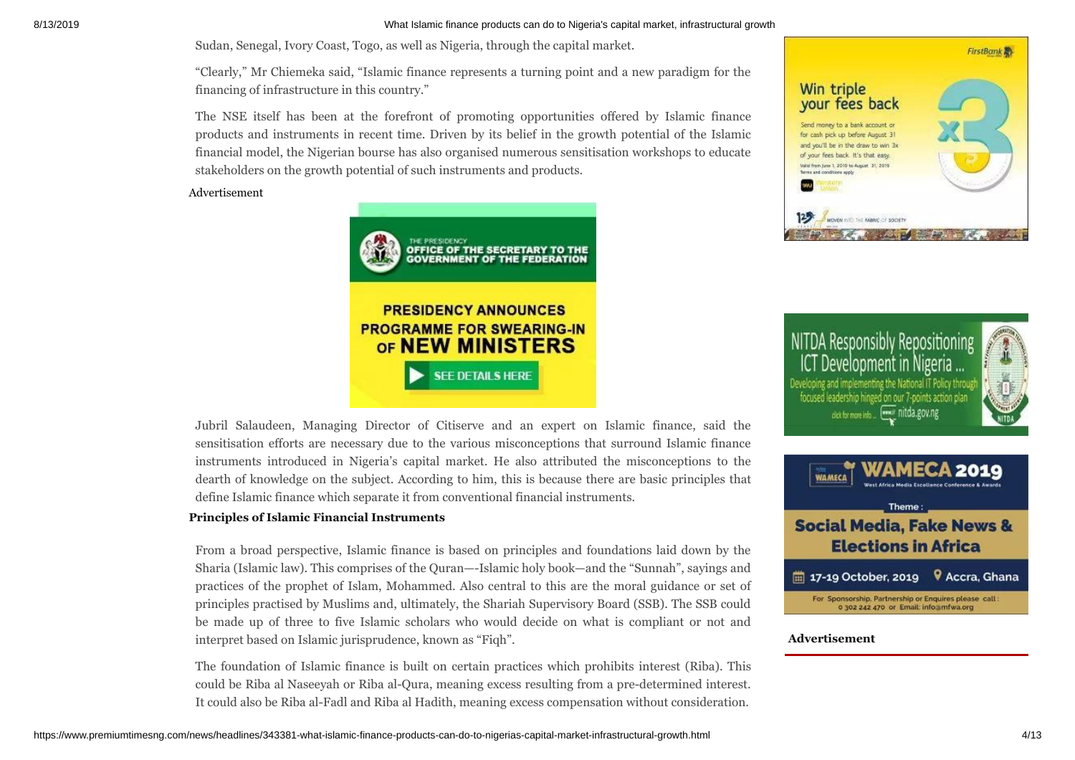Sudan, Senegal, Ivory Coast, Togo, as well as Nigeria, through the capital market.

"Clearly," Mr Chiemeka said, "Islamic finance represents a turning point and a new paradigm for the financing of infrastructure in this country."

The NSE itself has been at the forefront of promoting opportunities offered by Islamic finance products and instruments in recent time. Driven by its belief in the growth potential of the Islamic financial model, the Nigerian bourse has also organised numerous sensitisation workshops to educate stakeholders on the growth potential of such instruments and products.

#### Advertisement



Jubril Salaudeen, Managing Director of Citiserve and an expert on Islamic finance, said the sensitisation efforts are necessary due to the various misconceptions that surround Islamic finance instruments introduced in Nigeria's capital market. He also attributed the misconceptions to the dearth of knowledge on the subject. According to him, this is because there are basic principles that define Islamic finance which separate it from conventional financial instruments.

#### **Principles of Islamic Financial Instruments**

From a broad perspective, Islamic finance is based on principles and foundations laid down by the Sharia (Islamic law). This comprises of the Quran—-Islamic holy book—and the "Sunnah", sayings and practices of the prophet of Islam, Mohammed. Also central to this are the moral guidance or set of principles practised by Muslims and, ultimately, the Shariah Supervisory Board (SSB). The SSB could be made up of three to five Islamic scholars who would decide on what is compliant or not and interpret based on Islamic jurisprudence, known as "Fiqh".

The foundation of Islamic finance is built on certain practices which prohibits interest (Riba). This could be Riba al Naseeyah or Riba al-Qura, meaning excess resulting from a pre-determined interest. It could also be Riba al-Fadl and Riba al Hadith, meaning excess compensation without consideration.



NITDA Responsibly Repositioning Development in Nigeria eveloping and implementing the National IT Policy throu focused leadership hinged on our 7-points action pla www.nitda.gov.ng click for more info...





#### **Advertisement**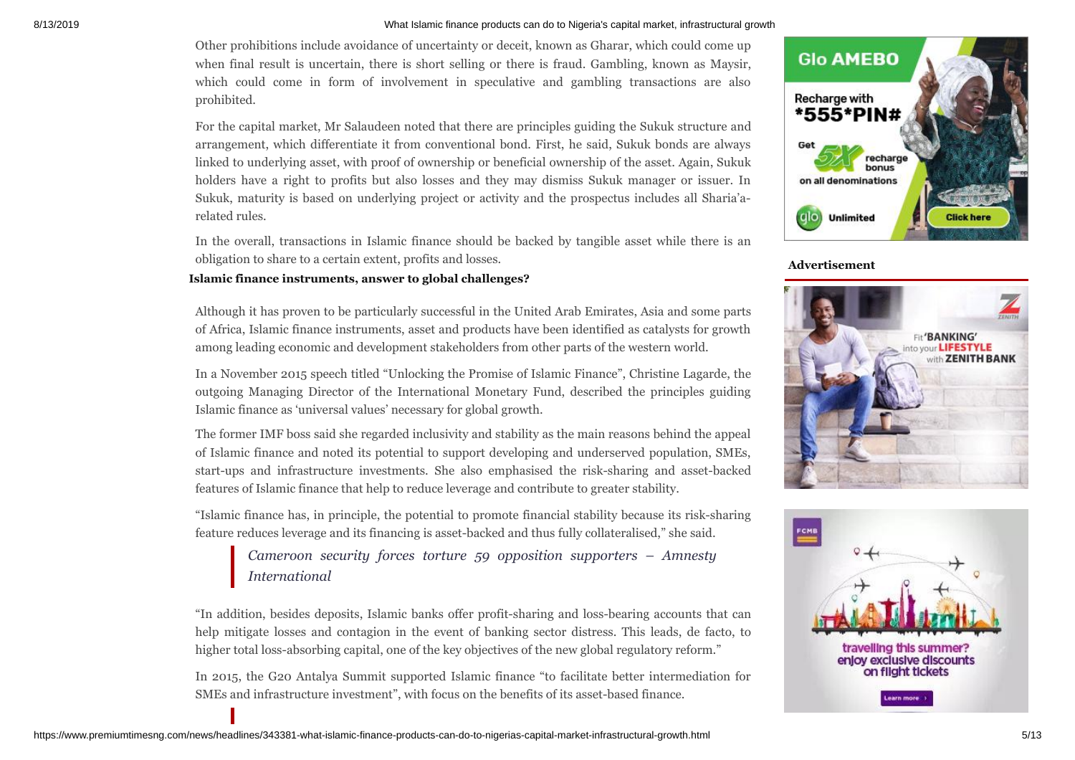Other prohibitions include avoidance of uncertainty or deceit, known as Gharar, which could come up when final result is uncertain, there is short selling or there is fraud. Gambling, known as Maysir, which could come in form of involvement in speculative and gambling transactions are also prohibited.

For the capital market, Mr Salaudeen noted that there are principles guiding the Sukuk structure and arrangement, which differentiate it from conventional bond. First, he said, Sukuk bonds are always linked to underlying asset, with proof of ownership or beneficial ownership of the asset. Again, Sukuk holders have a right to profits but also losses and they may dismiss Sukuk manager or issuer. In Sukuk, maturity is based on underlying project or activity and the prospectus includes all Sharia'arelated rules.

In the overall, transactions in Islamic finance should be backed by tangible asset while there is an obligation to share to a certain extent, profits and losses.

#### **Islamic finance instruments, answer to global challenges?**

Although it has proven to be particularly successful in the United Arab Emirates, Asia and some parts of Africa, Islamic finance instruments, asset and products have been identified as catalysts for growth among leading economic and development stakeholders from other parts of the western world.

In a November 2015 speech titled "Unlocking the Promise of Islamic Finance", Christine Lagarde, the outgoing Managing Director of the International Monetary Fund, described the principles guiding Islamic finance as 'universal values' necessary for global growth.

The former IMF boss said she regarded inclusivity and stability as the main reasons behind the appeal of Islamic finance and noted its potential to support developing and underserved population, SMEs, start-ups and infrastructure investments. She also emphasised the risk-sharing and asset-backed features of Islamic finance that help to reduce leverage and contribute to greater stability.

"Islamic finance has, in principle, the potential to promote financial stability because its risk-sharing feature reduces leverage and its financing is asset-backed and thus fully collateralised," she said.

*Cameroon security forces torture 59 opposition supporters – Amnesty [International](https://www.premiumtimesng.com/foreign/west-africa-foreign/343266-cameroon-security-forces-torture-59-opposition-supporters-amnesty-international.html)*

"In addition, besides deposits, Islamic banks offer profit-sharing and loss-bearing accounts that can help mitigate losses and contagion in the event of banking sector distress. This leads, de facto, to higher total loss-absorbing capital, one of the key objectives of the new global regulatory reform."

In 2015, the G20 Antalya Summit supported Islamic finance "to facilitate better intermediation for SMEs and infrastructure investment", with focus on the benefits of its asset-based finance.



**Advertisement**



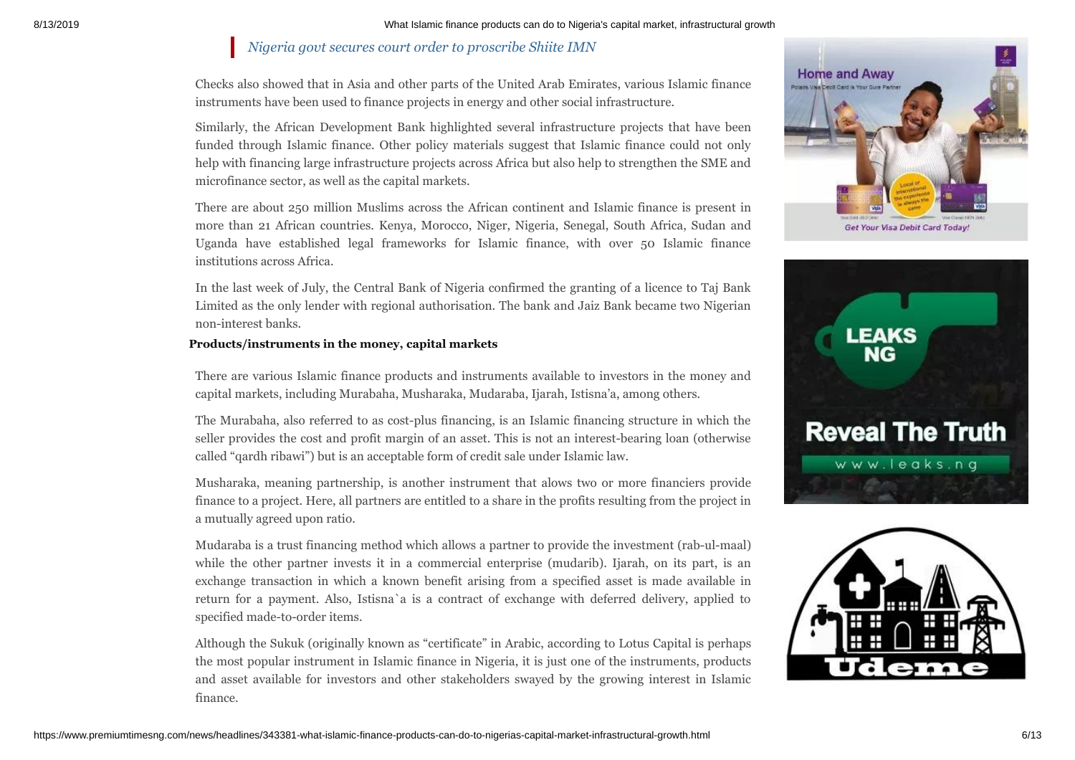#### *Nigeria govt secures court order to [proscribe](https://www.premiumtimesng.com/news/headlines/343322-nigeria-govt-secures-court-order-to-proscribe-shiite-imn.html) Shiite IMN*

Checks also showed that in Asia and other parts of the United Arab Emirates, various Islamic finance instruments have been used to finance projects in energy and other social infrastructure.

Similarly, the African Development Bank highlighted several infrastructure projects that have been funded through Islamic finance. Other policy materials suggest that Islamic finance could not only help with financing large infrastructure projects across Africa but also help to strengthen the SME and microfinance sector, as well as the capital markets.

There are about 250 million Muslims across the African continent and Islamic finance is present in more than 21 African countries. Kenya, Morocco, Niger, Nigeria, Senegal, South Africa, Sudan and Uganda have established legal frameworks for Islamic finance, with over 50 Islamic finance institutions across Africa.

In the last week of July, the Central Bank of Nigeria confirmed the granting of a licence to Taj Bank Limited as the only lender with regional authorisation. The bank and Jaiz Bank became two Nigerian non-interest banks.

#### **Products/instruments in the money, capital markets**

There are various Islamic finance products and instruments available to investors in the money and capital markets, including Murabaha, Musharaka, Mudaraba, Ijarah, Istisna'a, among others.

The Murabaha, also referred to as cost-plus financing, is an Islamic financing structure in which the seller provides the cost and profit margin of an asset. This is not an interest-bearing loan (otherwise called "qardh ribawi") but is an acceptable form of credit sale under Islamic law.

Musharaka, meaning partnership, is another instrument that alows two or more financiers provide finance to a project. Here, all partners are entitled to a share in the profits resulting from the project in a mutually agreed upon ratio.

Mudaraba is a trust financing method which allows a partner to provide the investment (rab-ul-maal) while the other partner invests it in a commercial enterprise (mudarib). Ijarah, on its part, is an exchange transaction in which a known benefit arising from a specified asset is made available in return for a payment. Also, Istisna`a is a contract of exchange with deferred delivery, applied to specified made-to-order items.

Although the Sukuk (originally known as "certificate" in Arabic, according to Lotus Capital is perhaps the most popular instrument in Islamic finance in Nigeria, it is just one of the instruments, products and asset available for investors and other stakeholders swayed by the growing interest in Islamic finance.





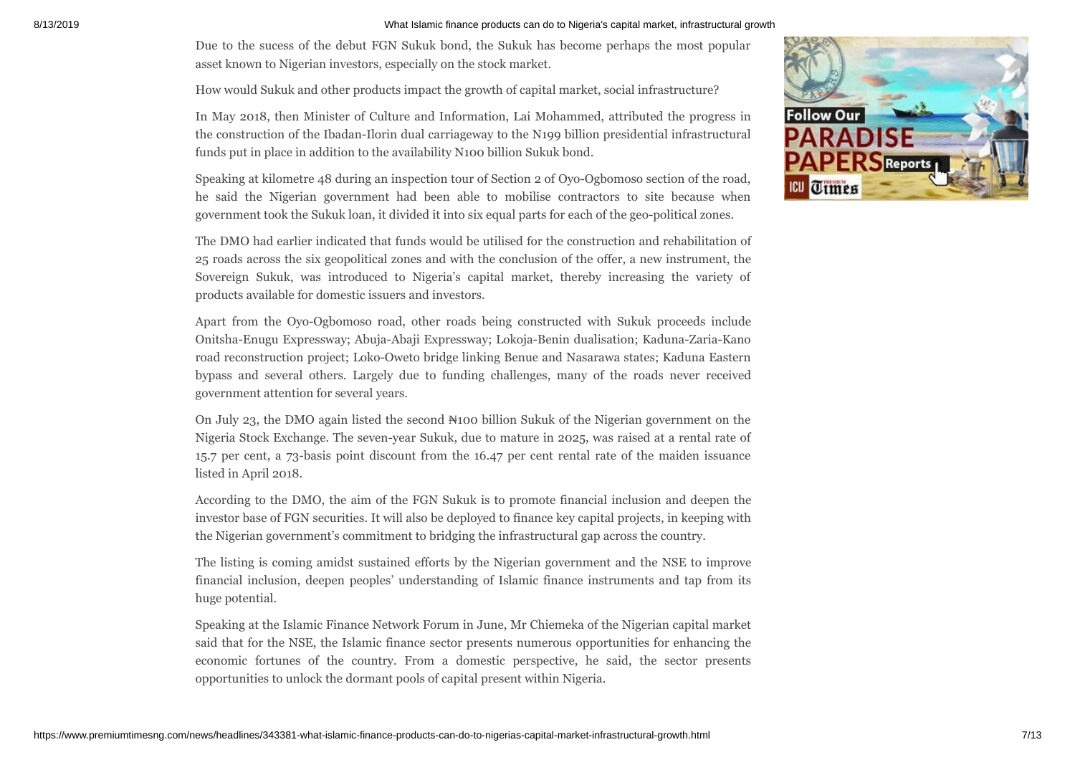Due to the sucess of the debut FGN Sukuk bond, the Sukuk has become perhaps the most popular asset known to Nigerian investors, especially on the stock market.

How would Sukuk and other products impact the growth of capital market, social infrastructure?

In May 2018, then Minister of Culture and Information, Lai Mohammed, attributed the progress in the construction of the Ibadan-Ilorin dual carriageway to the N199 billion presidential infrastructural funds put in place in addition to the availability N100 billion Sukuk bond.

Speaking at kilometre 48 during an inspection tour of Section 2 of Oyo-Ogbomoso section of the road, he said the Nigerian government had been able to mobilise contractors to site because when government took the Sukuk loan, it divided it into six equal parts for each of the geo-political zones.

The DMO had earlier indicated that funds would be utilised for the construction and rehabilitation of 25 roads across the six geopolitical zones and with the conclusion of the offer, a new instrument, the Sovereign Sukuk, was introduced to Nigeria's capital market, thereby increasing the variety of products available for domestic issuers and investors.

Apart from the Oyo-Ogbomoso road, other roads being constructed with Sukuk proceeds include Onitsha-Enugu Expressway; Abuja-Abaji Expressway; Lokoja-Benin dualisation; Kaduna-Zaria-Kano road reconstruction project; Loko-Oweto bridge linking Benue and Nasarawa states; Kaduna Eastern bypass and several others. Largely due to funding challenges, many of the roads never received government attention for several years.

On July 23, the DMO again listed the second ₦100 billion Sukuk of the Nigerian government on the Nigeria Stock Exchange. The seven-year Sukuk, due to mature in 2025, was raised at a rental rate of 15.7 per cent, a 73-basis point discount from the 16.47 per cent rental rate of the maiden issuance listed in April 2018.

According to the DMO, the aim of the FGN Sukuk is to promote financial inclusion and deepen the investor base of FGN securities. It will also be deployed to finance key capital projects, in keeping with the Nigerian government's commitment to bridging the infrastructural gap across the country.

The listing is coming amidst sustained efforts by the Nigerian government and the NSE to improve financial inclusion, deepen peoples' understanding of Islamic finance instruments and tap from its huge potential.

Speaking at the Islamic Finance Network Forum in June, Mr Chiemeka of the Nigerian capital market said that for the NSE, the Islamic finance sector presents numerous opportunities for enhancing the economic fortunes of the country. From a domestic perspective, he said, the sector presents opportunities to unlock the dormant pools of capital present within Nigeria.

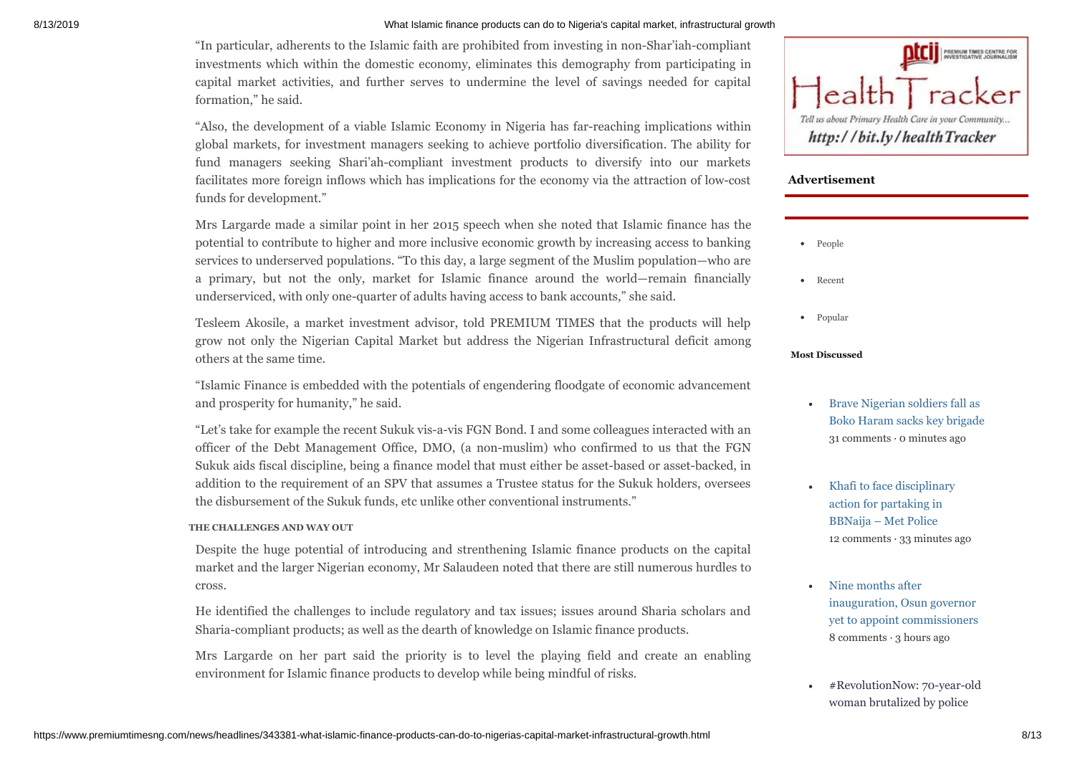"In particular, adherents to the Islamic faith are prohibited from investing in non-Shar'iah-compliant investments which within the domestic economy, eliminates this demography from participating in capital market activities, and further serves to undermine the level of savings needed for capital formation," he said.

"Also, the development of a viable Islamic Economy in Nigeria has far-reaching implications within global markets, for investment managers seeking to achieve portfolio diversification. The ability for fund managers seeking Shari'ah-compliant investment products to diversify into our markets facilitates more foreign inflows which has implications for the economy via the attraction of low-cost funds for development."

Mrs Largarde made a similar point in her 2015 speech when she noted that Islamic finance has the potential to contribute to higher and more inclusive economic growth by increasing access to banking services to underserved populations. "To this day, a large segment of the Muslim population—who are a primary, but not the only, market for Islamic finance around the world—remain financially underserviced, with only one-quarter of adults having access to bank accounts," she said.

Tesleem Akosile, a market investment advisor, told PREMIUM TIMES that the products will help grow not only the Nigerian Capital Market but address the Nigerian Infrastructural deficit among others at the same time.

"Islamic Finance is embedded with the potentials of engendering floodgate of economic advancement and prosperity for humanity," he said.

"Let's take for example the recent Sukuk vis-a-vis FGN Bond. I and some colleagues interacted with an officer of the Debt Management Office, DMO, (a non-muslim) who confirmed to us that the FGN Sukuk aids fiscal discipline, being a finance model that must either be asset-based or asset-backed, in addition to the requirement of an SPV that assumes a Trustee status for the Sukuk holders, oversees the disbursement of the Sukuk funds, etc unlike other conventional instruments."

#### **THE CHALLENGES AND WAY OUT**

Despite the huge potential of introducing and strenthening Islamic finance products on the capital market and the larger Nigerian economy, Mr Salaudeen noted that there are still numerous hurdles to cross.

He identified the challenges to include regulatory and tax issues; issues around Sharia scholars and Sharia-compliant products; as well as the dearth of knowledge on Islamic finance products.

Mrs Largarde on her part said the priority is to level the playing field and create an enabling environment for Islamic finance products to develop while being mindful of risks.



#### **Advertisement**

- People
- Recent
- Popular

#### **Most Discussed**

- Brave Nigerian soldiers fall as  $\bullet$ [Boko Haram sacks key brigade](https://www.premiumtimesng.com/news/headlines/346418-brave-nigerian-soldiers-fall-as-boko-haram-sacks-key-brigade.html) 31 comments · 0 minutes ago
- [Khafi to face disciplinary](https://www.premiumtimesng.com/entertainment/naija-fashion/346403-khafi-to-face-disciplinary-action-for-partaking-in-bbnaija-met-police.html) action for partaking in BBNaija – Met Police 12 comments  $\cdot$  33 minutes ago
- Nine months after [inauguration, Osun governor](https://www.premiumtimesng.com/news/headlines/346387-nine-months-after-inauguration-osun-governor-yet-to-appoint-commissioners.html) yet to appoint commissioners 8 comments · 3 hours ago
- [#RevolutionNow: 70-year-old](https://www.premiumtimesng.com/news/top-news/346435-revolutionnow-70-year-old-woman-brutalized-by-police-vows-to-support-more-protests.html) woman brutalized by police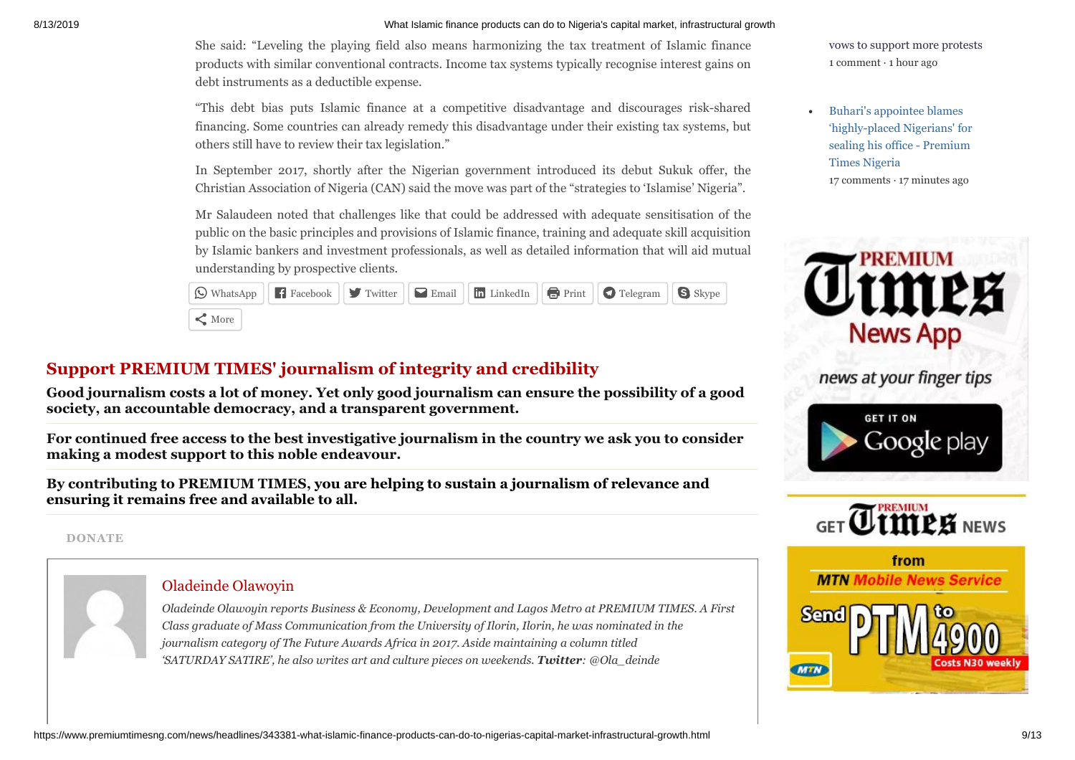She said: "Leveling the playing field also means harmonizing the tax treatment of Islamic finance products with similar conventional contracts. Income tax systems typically recognise interest gains on debt instruments as a deductible expense.

"This debt bias puts Islamic finance at a competitive disadvantage and discourages risk-shared financing. Some countries can already remedy this disadvantage under their existing tax systems, but others still have to review their tax legislation."

In September 2017, shortly after the Nigerian government introduced its debut Sukuk offer, the Christian Association of Nigeria (CAN) said the move was part of the "strategies to 'Islamise' Nigeria".

Mr Salaudeen noted that challenges like that could be addressed with adequate sensitisation of the public on the basic principles and provisions of Islamic finance, training and adequate skill acquisition by Islamic bankers and investment professionals, as well as detailed information that will aid mutual understanding by prospective clients.

|             | $\boxed{\bigcirc}$ WhatsApp $\boxed{\leftarrow}$ Facebook $\boxed{\bigcirc}$ Twitter $\boxed{\leftarrow}$ Email $\boxed{\leftarrow}$ LinkedIn $\boxed{\bigcirc}$ Print $\boxed{\bigcirc}$ Telegram $\boxed{\bigcirc}$ Skype |  |  |
|-------------|-----------------------------------------------------------------------------------------------------------------------------------------------------------------------------------------------------------------------------|--|--|
| $\leq$ More |                                                                                                                                                                                                                             |  |  |

### **Support PREMIUM TIMES' journalism of integrity and credibility**

Good journalism costs a lot of money. Yet only good journalism can ensure the possibility of a good **society, an accountable democracy, and a transparent government.**

**For continued free access to the best investigative journalism in the country we ask you to consider making a modest support to this noble endeavour.**

**By contributing to PREMIUM TIMES, you are helping to sustain a journalism of relevance and ensuring it remains free and available to all.**

**[DONATE](https://www.premiumtimesng.com/support)**



#### [Oladeinde Olawoyin](https://www.premiumtimesng.com/author/oladeinde)

*Oladeinde Olawoyin reports Business & Economy, Development and Lagos Metro at PREMIUM TIMES. A First Class graduate of Mass Communication from the University of Ilorin, Ilorin, he was nominated in the journalism category of The Future Awards Africa in 2017. Aside maintaining a column titled 'SATURDAY SATIRE', he also writes art and culture pieces on weekends. Twitter: @Ola\_deinde*

[vows to support more protests](https://www.premiumtimesng.com/news/top-news/346435-revolutionnow-70-year-old-woman-brutalized-by-police-vows-to-support-more-protests.html) 1 comment · 1 hour ago

Buhari's appointee blames ['highly-placed Nigerians' for](https://www.premiumtimesng.com/news/headlines/346339-buharis-appointee-blames-highly-placed-nigerians-for-sealing-his-office.html) sealing his office - Premium Times Nigeria 17 comments · 17 minutes ago



news at your finger tips





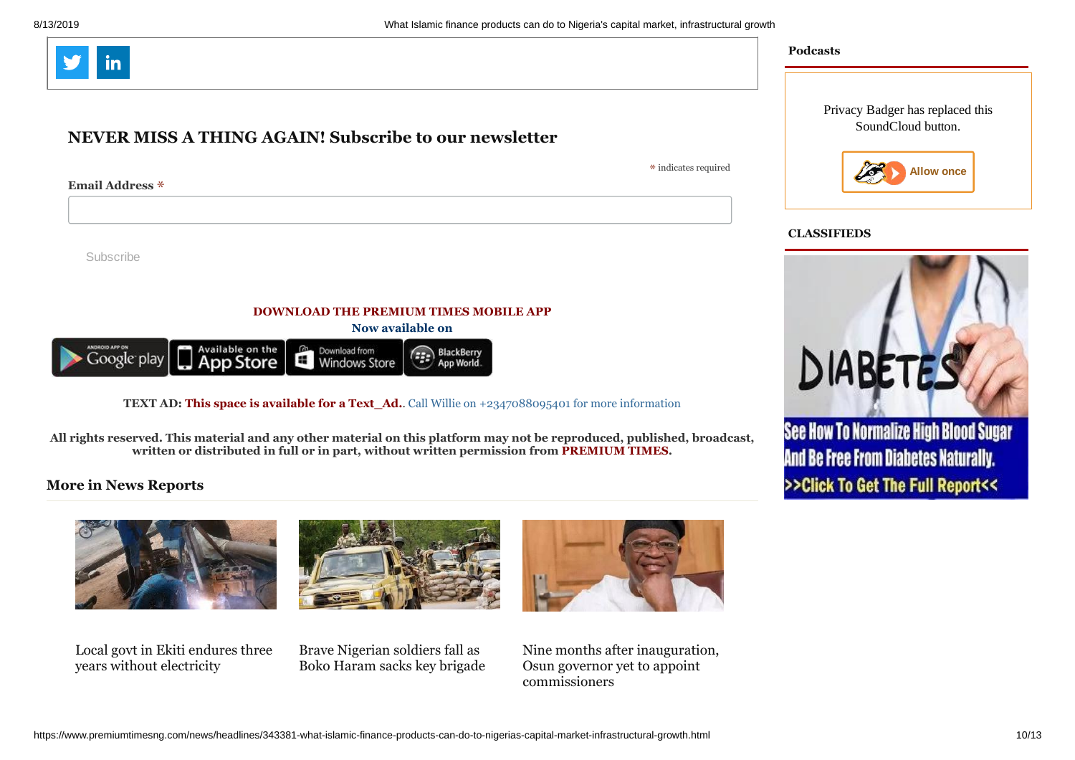

#### **NEVER MISS A THING AGAIN! Subscribe to our newsletter**

\* indicates required

Privacy Badger has replaced this SoundCloud button.



#### **CLASSIFIEDS**

DIABETES

See How To Normalize High Blood Sugar

**And Be Free From Diabetes Naturally.** 

>>Click To Get The Full Report<<

**Podcasts**



**Email Address** \*

**DOWNLOAD THE PREMIUM TIMES MOBILE APP**

**Now available on**



**TEXT AD: This space is available for a Text Ad.**. Call Willie on +2347088095401 for more information

**All rights reserved. This material and any other material on this platform may not be reproduced, published, broadcast, written or distributed in full or in part, without written permission from PREMIUM TIMES.**

#### **More in News Reports**



Local govt in Ekiti endures three years without [electricity](https://www.premiumtimesng.com/news/headlines/346317-local-govt-in-ekiti-endures-three-years-without-electricity.html)





Nine months after inauguration, Osun governor yet to appoint [commissioners](https://www.premiumtimesng.com/news/headlines/346387-nine-months-after-inauguration-osun-governor-yet-to-appoint-commissioners.html)

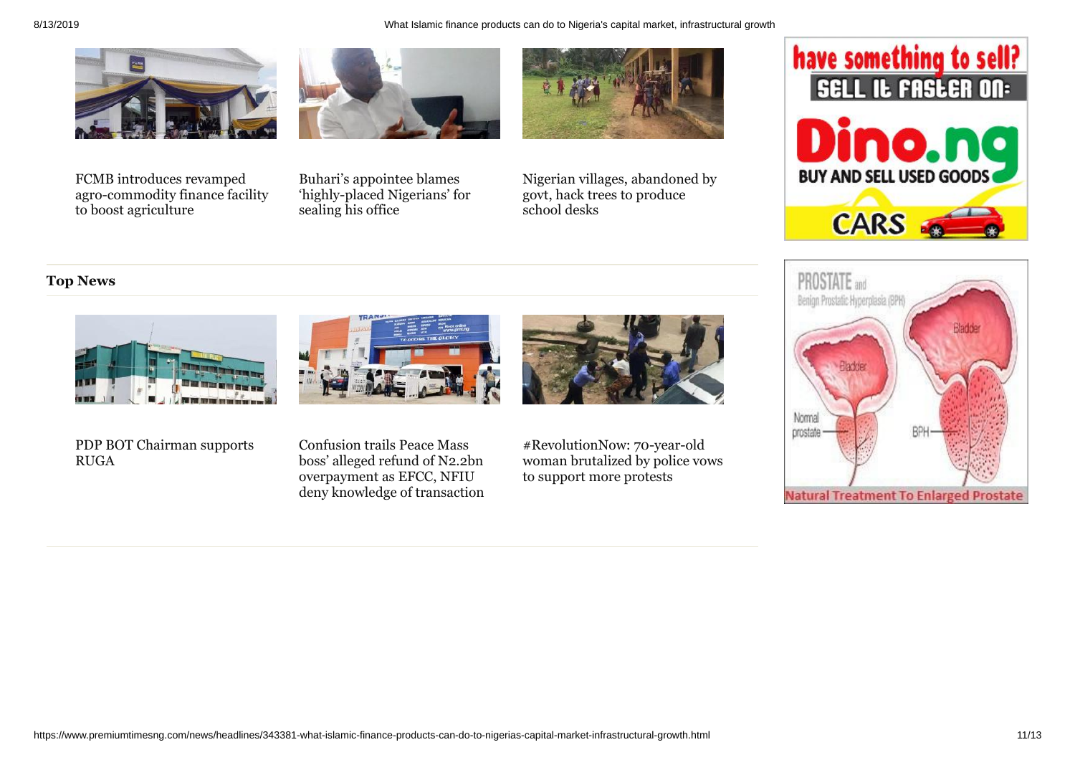

FCMB introduces revamped [agro-commodity](https://www.premiumtimesng.com/business/business-news/346365-fcmb-introduces-revamped-agro-commodity-finance-facility-to-boost-agriculture.html) finance facility

to boost agriculture



Buhari's appointee blames

sealing his office



['highly-placed](https://www.premiumtimesng.com/news/headlines/346339-buharis-appointee-blames-highly-placed-nigerians-for-sealing-his-office.html) Nigerians' for Nigerian villages, [abandoned](https://www.premiumtimesng.com/news/headlines/346323-nigerian-villages-abandoned-by-govt-hack-trees-to-produce-school-desks.html) by govt, hack trees to produce school desks

# have something to sell? O. **BUY AND SELL USED GOODS CARS**

#### **Top News**







PDP BOT [Chairman](https://www.premiumtimesng.com/news/top-news/346455-pdp-bot-chairman-supports-ruga.html) supports RUGA

Confusion trails Peace Mass boss' alleged refund of N2.2bn [overpayment](https://www.premiumtimesng.com/news/top-news/346453-confusion-trails-peace-mass-boss-alleged-refund-of-n2-2bn-overpayment-as-efcc-nfiu-deny-knowledge-of-transaction.html) as EFCC, NFIU deny knowledge of transaction [#RevolutionNow:](https://www.premiumtimesng.com/news/top-news/346435-revolutionnow-70-year-old-woman-brutalized-by-police-vows-to-support-more-protests.html) 70-year-old woman brutalized by police vows to support more protests

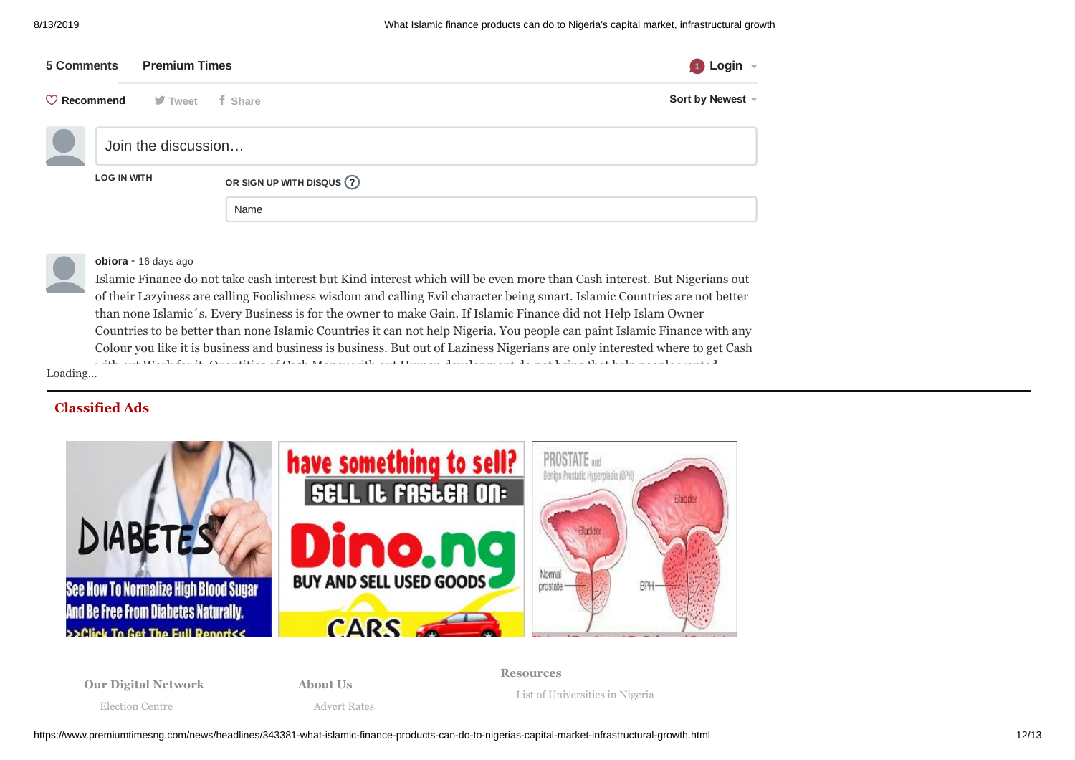| 5 Comments                                               | <b>Premium Times</b> | Login $\sim$                 |
|----------------------------------------------------------|----------------------|------------------------------|
| $\heartsuit$ <b>Recommend</b> $\heartsuit$ Tweet f Share |                      | Sort by Newest -             |
|                                                          | Join the discussion  |                              |
| <b>LOG IN WITH</b>                                       |                      | OR SIGN UP WITH DISQUS $(2)$ |
|                                                          |                      | Name                         |



**obiora** • 16 [days ago](https://www.premiumtimesng.com/news/headlines/343381-what-islamic-finance-products-can-do-to-nigerias-capital-market-infrastructural-growth.html#comment-4556441096)

Loading... Islamic Finance do not take cash interest but Kind interest which will be even more than Cash interest. But Nigerians out of their Lazyiness are calling Foolishness wisdom and calling Evil character being smart. Islamic Countries are not better than none Islamic´s. Every Business is for the owner to make Gain. If Islamic Finance did not Help Islam Owner Countries to be better than none Islamic Countries it can not help Nigeria. You people can paint Islamic Finance with any Colour you like it is business and business is business. But out of Laziness Nigerians are only interested where to get Cash with out Work for it. Quantities of Cash Money with out Human development do not bring that help people wanted

#### **Classified Ads**



**[Our Digital Network](http://premiumtimesng.com/)**

**[About Us](https://www.premiumtimesng.com/about)**

**[Resources](https://www.premiumtimesng.com/resources)**

[List of Universities in Nigeria](https://www.premiumtimesng.com/list-nigerian-universities)

[Election Centre](http://www.elections.premiumtimesng.com/)

[Advert Rates](https://www.premiumtimesng.com/advert)

https://www.premiumtimesng.com/news/headlines/343381-what-islamic-finance-products-can-do-to-nigerias-capital-market-infrastructural-growth.html 12/13